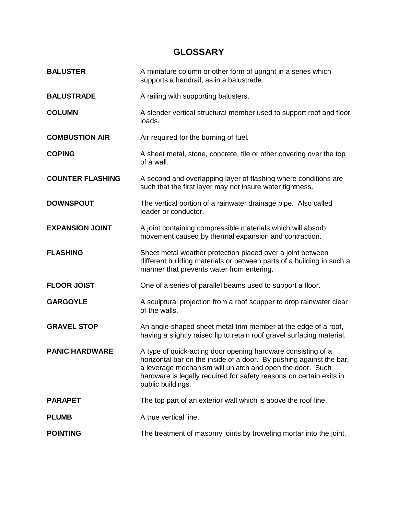## **GLOSSARY**

| <b>BALUSTER</b>         | A miniature column or other form of upright in a series which<br>supports a handrail, as in a balustrade.                                                                                                                                                                                    |
|-------------------------|----------------------------------------------------------------------------------------------------------------------------------------------------------------------------------------------------------------------------------------------------------------------------------------------|
| <b>BALUSTRADE</b>       | A railing with supporting balusters.                                                                                                                                                                                                                                                         |
| <b>COLUMN</b>           | A slender vertical structural member used to support roof and floor<br>loads.                                                                                                                                                                                                                |
| <b>COMBUSTION AIR</b>   | Air required for the burning of fuel.                                                                                                                                                                                                                                                        |
| <b>COPING</b>           | A sheet metal, stone, concrete, tile or other covering over the top<br>of a wall.                                                                                                                                                                                                            |
| <b>COUNTER FLASHING</b> | A second and overlapping layer of flashing where conditions are<br>such that the first layer may not insure water tightness.                                                                                                                                                                 |
| <b>DOWNSPOUT</b>        | The vertical portion of a rainwater drainage pipe. Also called<br>leader or conductor.                                                                                                                                                                                                       |
| <b>EXPANSION JOINT</b>  | A joint containing compressible materials which will absorb<br>movement caused by thermal expansion and contraction.                                                                                                                                                                         |
| <b>FLASHING</b>         | Sheet metal weather protection placed over a joint between<br>different building materials or between parts of a building in such a<br>manner that prevents water from entering.                                                                                                             |
| <b>FLOOR JOIST</b>      | One of a series of parallel beams used to support a floor.                                                                                                                                                                                                                                   |
| <b>GARGOYLE</b>         | A sculptural projection from a roof scupper to drop rainwater clear<br>of the walls.                                                                                                                                                                                                         |
| <b>GRAVEL STOP</b>      | An angle-shaped sheet metal trim member at the edge of a roof,<br>having a slightly raised lip to retain roof gravel surfacing material.                                                                                                                                                     |
| <b>PANIC HARDWARE</b>   | A type of quick-acting door opening hardware consisting of a<br>horizontal bar on the inside of a door. By pushing against the bar,<br>a leverage mechanism will unlatch and open the door. Such<br>hardware is legally required for safety reasons on certain exits in<br>public buildings. |
| <b>PARAPET</b>          | The top part of an exterior wall which is above the roof line.                                                                                                                                                                                                                               |
| <b>PLUMB</b>            | A true vertical line.                                                                                                                                                                                                                                                                        |
| <b>POINTING</b>         | The treatment of masonry joints by troweling mortar into the joint.                                                                                                                                                                                                                          |